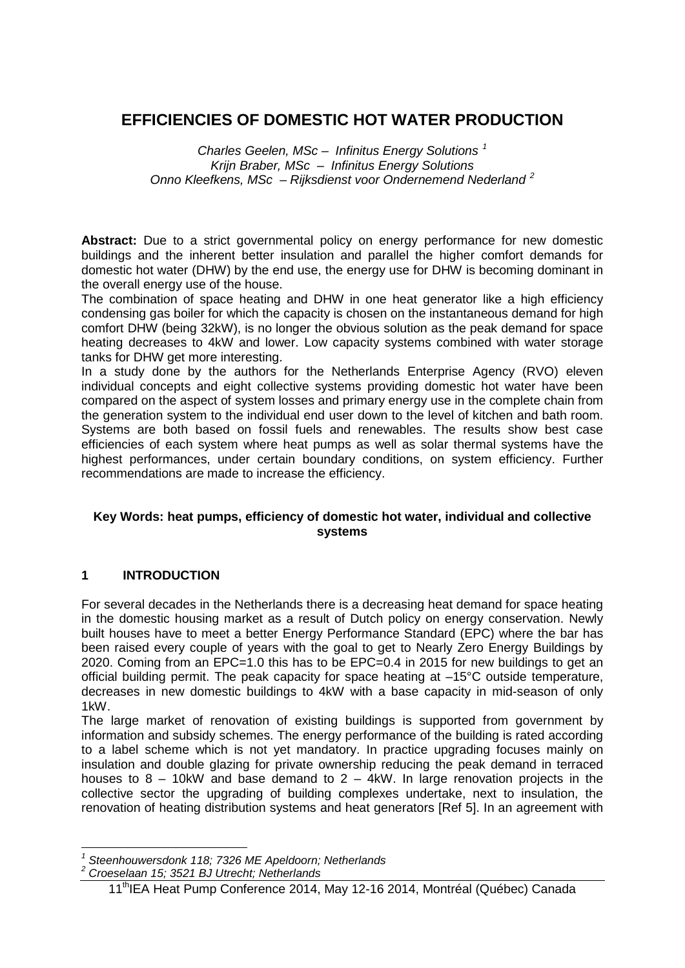# **EFFICIENCIES OF DOMESTIC HOT WATER PRODUCTION**

*Charles Geelen, MSc – Infinitus Energy Solutions [1](#page-0-0) Krijn Braber, MSc – Infinitus Energy Solutions Onno Kleefkens, MSc – Rijksdienst voor Ondernemend Nederland [2](#page-0-1)*

Abstract: Due to a strict governmental policy on energy performance for new domestic buildings and the inherent better insulation and parallel the higher comfort demands for domestic hot water (DHW) by the end use, the energy use for DHW is becoming dominant in the overall energy use of the house.

The combination of space heating and DHW in one heat generator like a high efficiency condensing gas boiler for which the capacity is chosen on the instantaneous demand for high comfort DHW (being 32kW), is no longer the obvious solution as the peak demand for space heating decreases to 4kW and lower. Low capacity systems combined with water storage tanks for DHW get more interesting.

In a study done by the authors for the Netherlands Enterprise Agency (RVO) eleven individual concepts and eight collective systems providing domestic hot water have been compared on the aspect of system losses and primary energy use in the complete chain from the generation system to the individual end user down to the level of kitchen and bath room. Systems are both based on fossil fuels and renewables. The results show best case efficiencies of each system where heat pumps as well as solar thermal systems have the highest performances, under certain boundary conditions, on system efficiency. Further recommendations are made to increase the efficiency.

#### **Key Words: heat pumps, efficiency of domestic hot water, individual and collective systems**

### **1 INTRODUCTION**

For several decades in the Netherlands there is a decreasing heat demand for space heating in the domestic housing market as a result of Dutch policy on energy conservation. Newly built houses have to meet a better Energy Performance Standard (EPC) where the bar has been raised every couple of years with the goal to get to Nearly Zero Energy Buildings by 2020. Coming from an EPC=1.0 this has to be EPC=0.4 in 2015 for new buildings to get an official building permit. The peak capacity for space heating at –15°C outside temperature, decreases in new domestic buildings to 4kW with a base capacity in mid-season of only 1kW.

The large market of renovation of existing buildings is supported from government by information and subsidy schemes. The energy performance of the building is rated according to a label scheme which is not yet mandatory. In practice upgrading focuses mainly on insulation and double glazing for private ownership reducing the peak demand in terraced houses to  $8 - 10$ kW and base demand to  $2 - 4$ kW. In large renovation projects in the collective sector the upgrading of building complexes undertake, next to insulation, the renovation of heating distribution systems and heat generators [Ref 5]. In an agreement with

*<sup>1</sup> Steenhouwersdonk 118; 7326 ME Apeldoorn; Netherlands*

<span id="page-0-1"></span><span id="page-0-0"></span>*<sup>2</sup> Croeselaan 15; 3521 BJ Utrecht; Netherlands*

<sup>11&</sup>lt;sup>th</sup>IEA Heat Pump Conference 2014, May 12-16 2014, Montréal (Québec) Canada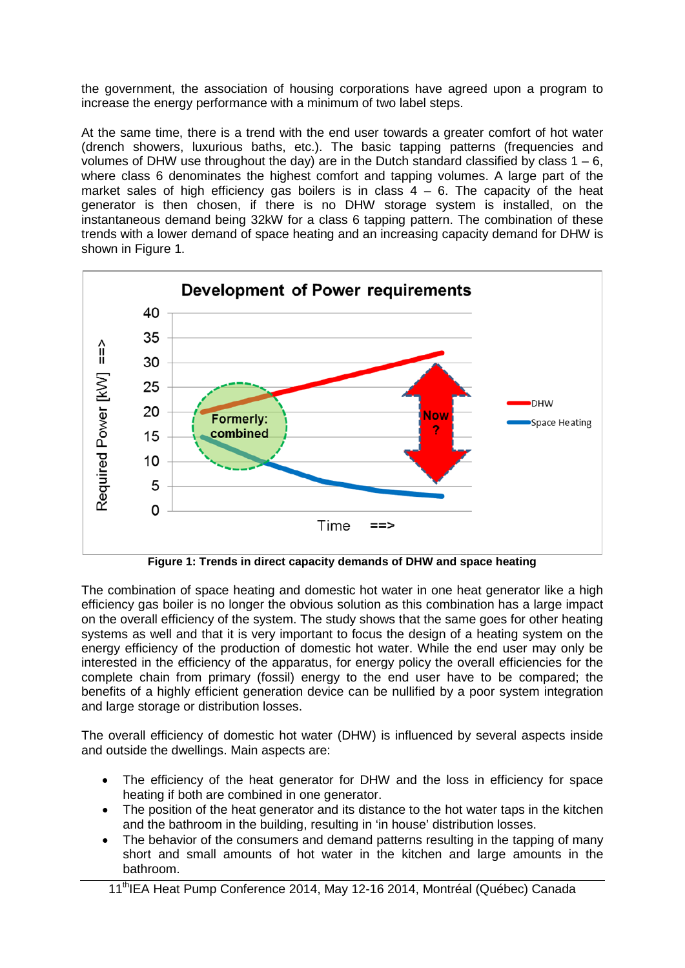the government, the association of housing corporations have agreed upon a program to increase the energy performance with a minimum of two label steps.

At the same time, there is a trend with the end user towards a greater comfort of hot water (drench showers, luxurious baths, etc.). The basic tapping patterns (frequencies and volumes of DHW use throughout the day) are in the Dutch standard classified by class  $1 - 6$ , where class 6 denominates the highest comfort and tapping volumes. A large part of the market sales of high efficiency gas boilers is in class  $4 - 6$ . The capacity of the heat generator is then chosen, if there is no DHW storage system is installed, on the instantaneous demand being 32kW for a class 6 tapping pattern. The combination of these trends with a lower demand of space heating and an increasing capacity demand for DHW is shown in Figure 1.



**Figure 1: Trends in direct capacity demands of DHW and space heating**

The combination of space heating and domestic hot water in one heat generator like a high efficiency gas boiler is no longer the obvious solution as this combination has a large impact on the overall efficiency of the system. The study shows that the same goes for other heating systems as well and that it is very important to focus the design of a heating system on the energy efficiency of the production of domestic hot water. While the end user may only be interested in the efficiency of the apparatus, for energy policy the overall efficiencies for the complete chain from primary (fossil) energy to the end user have to be compared; the benefits of a highly efficient generation device can be nullified by a poor system integration and large storage or distribution losses.

The overall efficiency of domestic hot water (DHW) is influenced by several aspects inside and outside the dwellings. Main aspects are:

- The efficiency of the heat generator for DHW and the loss in efficiency for space heating if both are combined in one generator.
- The position of the heat generator and its distance to the hot water taps in the kitchen and the bathroom in the building, resulting in 'in house' distribution losses.
- The behavior of the consumers and demand patterns resulting in the tapping of many short and small amounts of hot water in the kitchen and large amounts in the bathroom.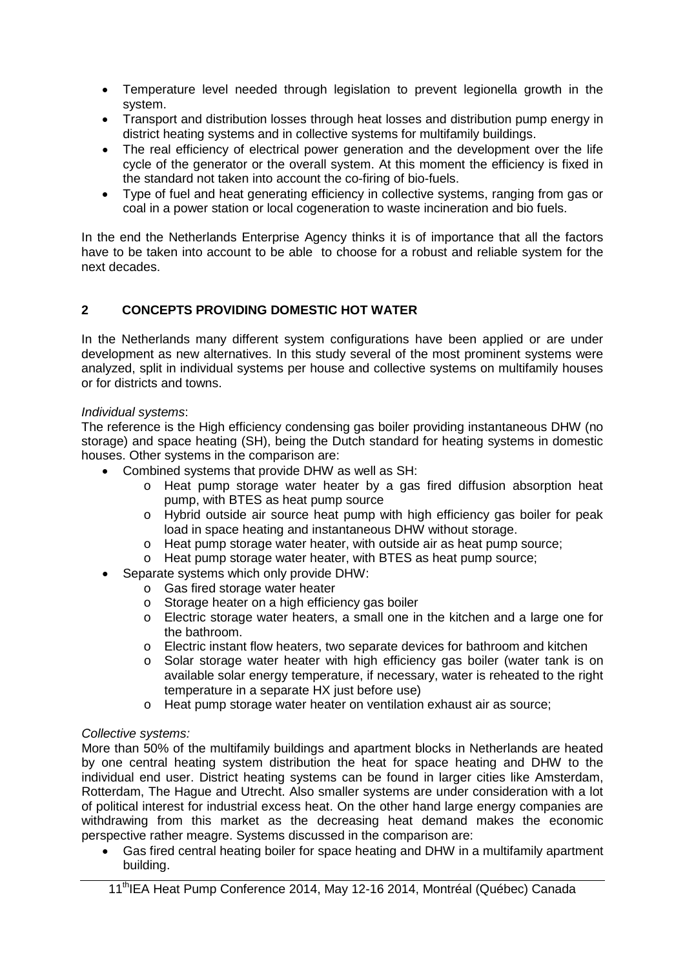- Temperature level needed through legislation to prevent legionella growth in the system.
- Transport and distribution losses through heat losses and distribution pump energy in district heating systems and in collective systems for multifamily buildings.
- The real efficiency of electrical power generation and the development over the life cycle of the generator or the overall system. At this moment the efficiency is fixed in the standard not taken into account the co-firing of bio-fuels.
- Type of fuel and heat generating efficiency in collective systems, ranging from gas or coal in a power station or local cogeneration to waste incineration and bio fuels.

In the end the Netherlands Enterprise Agency thinks it is of importance that all the factors have to be taken into account to be able to choose for a robust and reliable system for the next decades.

## **2 CONCEPTS PROVIDING DOMESTIC HOT WATER**

In the Netherlands many different system configurations have been applied or are under development as new alternatives. In this study several of the most prominent systems were analyzed, split in individual systems per house and collective systems on multifamily houses or for districts and towns.

#### *Individual systems*:

The reference is the High efficiency condensing gas boiler providing instantaneous DHW (no storage) and space heating (SH), being the Dutch standard for heating systems in domestic houses. Other systems in the comparison are:

- Combined systems that provide DHW as well as SH:
	- o Heat pump storage water heater by a gas fired diffusion absorption heat pump, with BTES as heat pump source
	- o Hybrid outside air source heat pump with high efficiency gas boiler for peak load in space heating and instantaneous DHW without storage.
	- o Heat pump storage water heater, with outside air as heat pump source;
	- o Heat pump storage water heater, with BTES as heat pump source;
- Separate systems which only provide DHW:
	- o Gas fired storage water heater
	- o Storage heater on a high efficiency gas boiler
	- o Electric storage water heaters, a small one in the kitchen and a large one for the bathroom.
	- o Electric instant flow heaters, two separate devices for bathroom and kitchen
	- o Solar storage water heater with high efficiency gas boiler (water tank is on available solar energy temperature, if necessary, water is reheated to the right temperature in a separate HX just before use)
	- o Heat pump storage water heater on ventilation exhaust air as source;

#### *Collective systems:*

More than 50% of the multifamily buildings and apartment blocks in Netherlands are heated by one central heating system distribution the heat for space heating and DHW to the individual end user. District heating systems can be found in larger cities like Amsterdam, Rotterdam, The Hague and Utrecht. Also smaller systems are under consideration with a lot of political interest for industrial excess heat. On the other hand large energy companies are withdrawing from this market as the decreasing heat demand makes the economic perspective rather meagre. Systems discussed in the comparison are:

• Gas fired central heating boiler for space heating and DHW in a multifamily apartment building.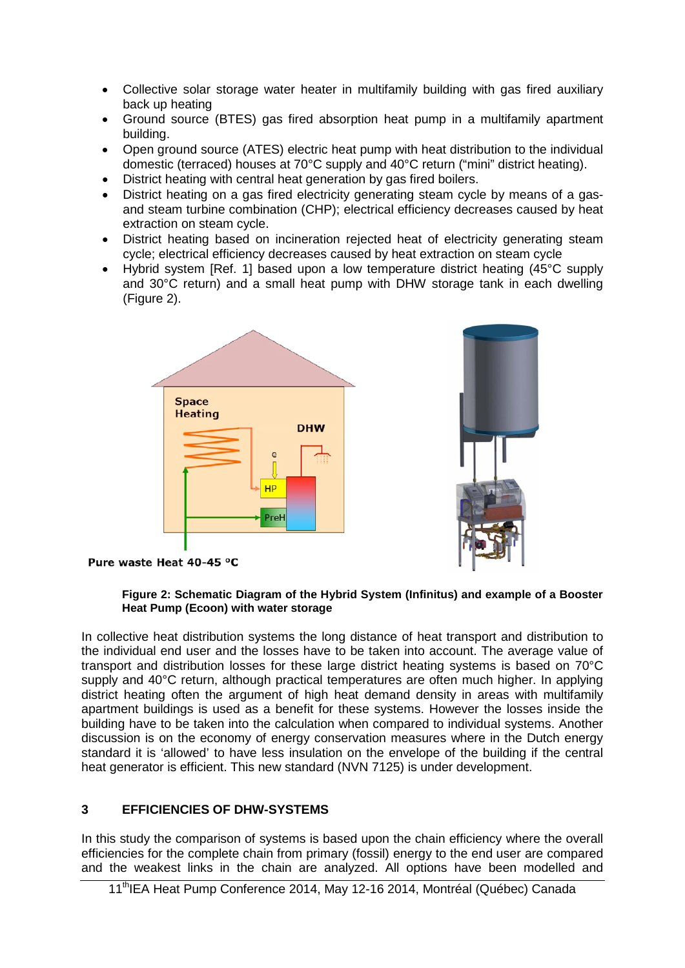- Collective solar storage water heater in multifamily building with gas fired auxiliary back up heating
- Ground source (BTES) gas fired absorption heat pump in a multifamily apartment building.
- Open ground source (ATES) electric heat pump with heat distribution to the individual domestic (terraced) houses at 70°C supply and 40°C return ("mini" district heating).
- District heating with central heat generation by gas fired boilers.
- District heating on a gas fired electricity generating steam cycle by means of a gasand steam turbine combination (CHP); electrical efficiency decreases caused by heat extraction on steam cycle.
- District heating based on incineration rejected heat of electricity generating steam cycle; electrical efficiency decreases caused by heat extraction on steam cycle
- Hybrid system [Ref. 1] based upon a low temperature district heating (45°C supply and 30°C return) and a small heat pump with DHW storage tank in each dwelling (Figure 2).



Pure waste Heat 40-45 °C

#### **Figure 2: Schematic Diagram of the Hybrid System (Infinitus) and example of a Booster Heat Pump (Ecoon) with water storage**

In collective heat distribution systems the long distance of heat transport and distribution to the individual end user and the losses have to be taken into account. The average value of transport and distribution losses for these large district heating systems is based on 70°C supply and 40°C return, although practical temperatures are often much higher. In applying district heating often the argument of high heat demand density in areas with multifamily apartment buildings is used as a benefit for these systems. However the losses inside the building have to be taken into the calculation when compared to individual systems. Another discussion is on the economy of energy conservation measures where in the Dutch energy standard it is 'allowed' to have less insulation on the envelope of the building if the central heat generator is efficient. This new standard (NVN 7125) is under development.

### **3 EFFICIENCIES OF DHW-SYSTEMS**

In this study the comparison of systems is based upon the chain efficiency where the overall efficiencies for the complete chain from primary (fossil) energy to the end user are compared and the weakest links in the chain are analyzed. All options have been modelled and

<sup>11&</sup>lt;sup>th</sup>IEA Heat Pump Conference 2014, May 12-16 2014, Montréal (Québec) Canada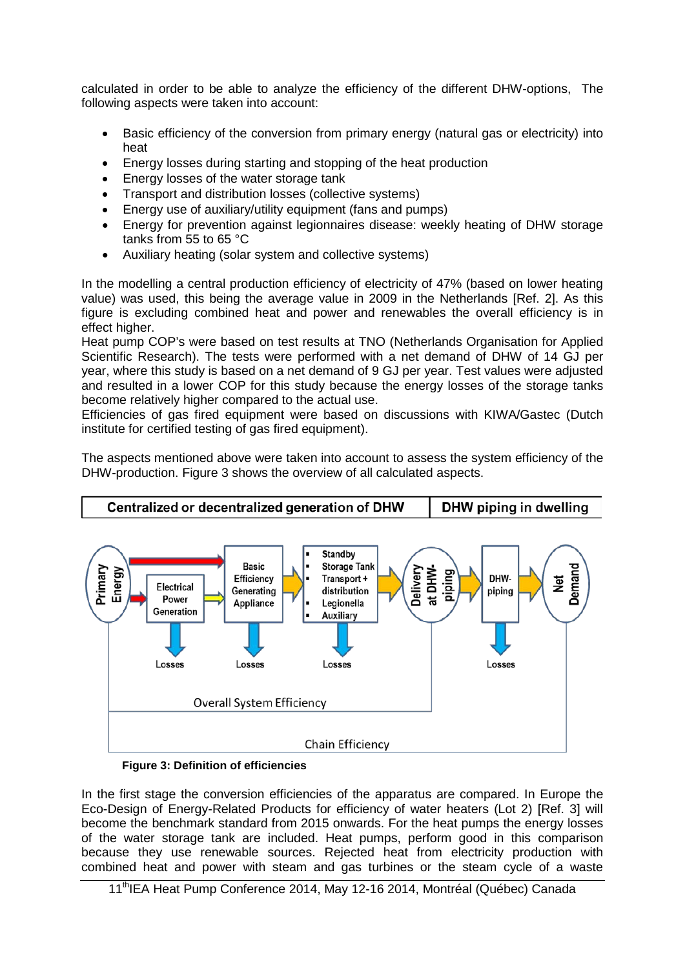calculated in order to be able to analyze the efficiency of the different DHW-options, The following aspects were taken into account:

- Basic efficiency of the conversion from primary energy (natural gas or electricity) into heat
- Energy losses during starting and stopping of the heat production
- Energy losses of the water storage tank
- Transport and distribution losses (collective systems)
- Energy use of auxiliary/utility equipment (fans and pumps)
- Energy for prevention against legionnaires disease: weekly heating of DHW storage tanks from 55 to 65 °C
- Auxiliary heating (solar system and collective systems)

In the modelling a central production efficiency of electricity of 47% (based on lower heating value) was used, this being the average value in 2009 in the Netherlands [Ref. 2]. As this figure is excluding combined heat and power and renewables the overall efficiency is in effect higher.

Heat pump COP's were based on test results at TNO (Netherlands Organisation for Applied Scientific Research). The tests were performed with a net demand of DHW of 14 GJ per year, where this study is based on a net demand of 9 GJ per year. Test values were adjusted and resulted in a lower COP for this study because the energy losses of the storage tanks become relatively higher compared to the actual use.

Efficiencies of gas fired equipment were based on discussions with KIWA/Gastec (Dutch institute for certified testing of gas fired equipment).

The aspects mentioned above were taken into account to assess the system efficiency of the DHW-production. Figure 3 shows the overview of all calculated aspects.



**Figure 3: Definition of efficiencies**

In the first stage the conversion efficiencies of the apparatus are compared. In Europe the Eco-Design of Energy-Related Products for efficiency of water heaters (Lot 2) [Ref. 3] will become the benchmark standard from 2015 onwards. For the heat pumps the energy losses of the water storage tank are included. Heat pumps, perform good in this comparison because they use renewable sources. Rejected heat from electricity production with combined heat and power with steam and gas turbines or the steam cycle of a waste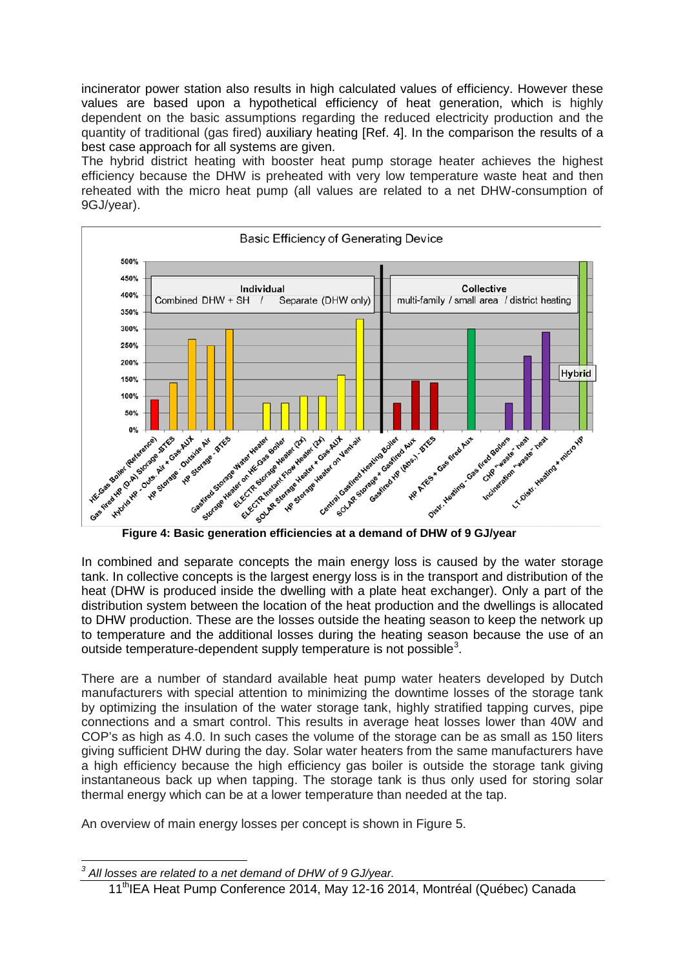incinerator power station also results in high calculated values of efficiency. However these values are based upon a hypothetical efficiency of heat generation, which is highly dependent on the basic assumptions regarding the reduced electricity production and the quantity of traditional (gas fired) auxiliary heating [Ref. 4]. In the comparison the results of a best case approach for all systems are given.

The hybrid district heating with booster heat pump storage heater achieves the highest efficiency because the DHW is preheated with very low temperature waste heat and then reheated with the micro heat pump (all values are related to a net DHW-consumption of 9GJ/year).



In combined and separate concepts the main energy loss is caused by the water storage tank. In collective concepts is the largest energy loss is in the transport and distribution of the heat (DHW is produced inside the dwelling with a plate heat exchanger). Only a part of the distribution system between the location of the heat production and the dwellings is allocated to DHW production. These are the losses outside the heating season to keep the network up to temperature and the additional losses during the heating season because the use of an outside temperature-dependent supply temperature is not possible<sup>[3](#page-5-0)</sup>.

There are a number of standard available heat pump water heaters developed by Dutch manufacturers with special attention to minimizing the downtime losses of the storage tank by optimizing the insulation of the water storage tank, highly stratified tapping curves, pipe connections and a smart control. This results in average heat losses lower than 40W and COP's as high as 4.0. In such cases the volume of the storage can be as small as 150 liters giving sufficient DHW during the day. Solar water heaters from the same manufacturers have a high efficiency because the high efficiency gas boiler is outside the storage tank giving instantaneous back up when tapping. The storage tank is thus only used for storing solar thermal energy which can be at a lower temperature than needed at the tap.

An overview of main energy losses per concept is shown in Figure 5.

<span id="page-5-0"></span>*<sup>3</sup> All losses are related to a net demand of DHW of 9 GJ/year.*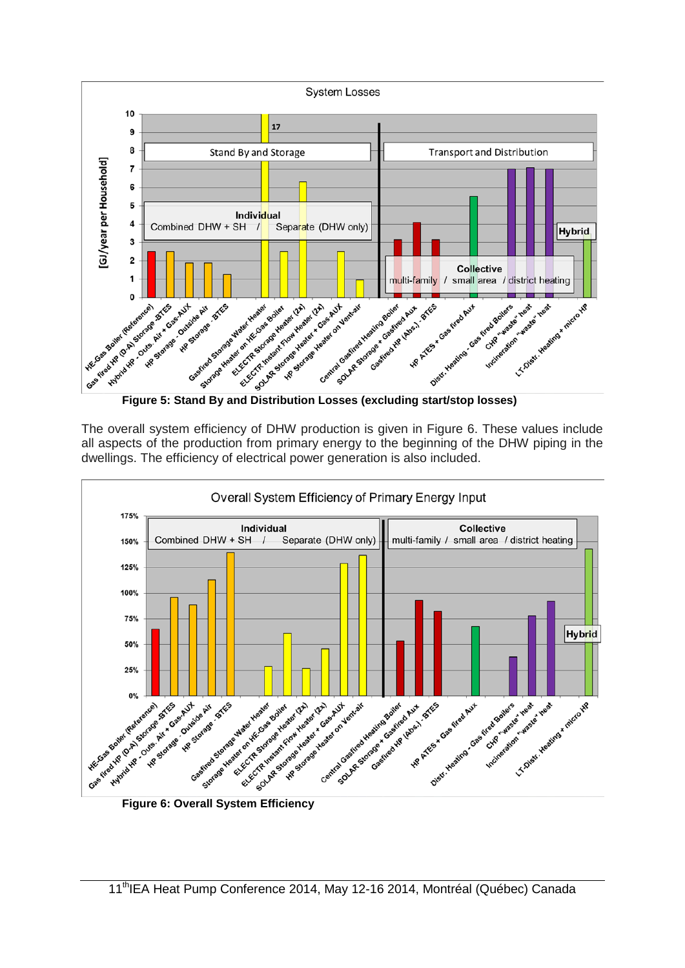

The overall system efficiency of DHW production is given in Figure 6. These values include all aspects of the production from primary energy to the beginning of the DHW piping in the dwellings. The efficiency of electrical power generation is also included.

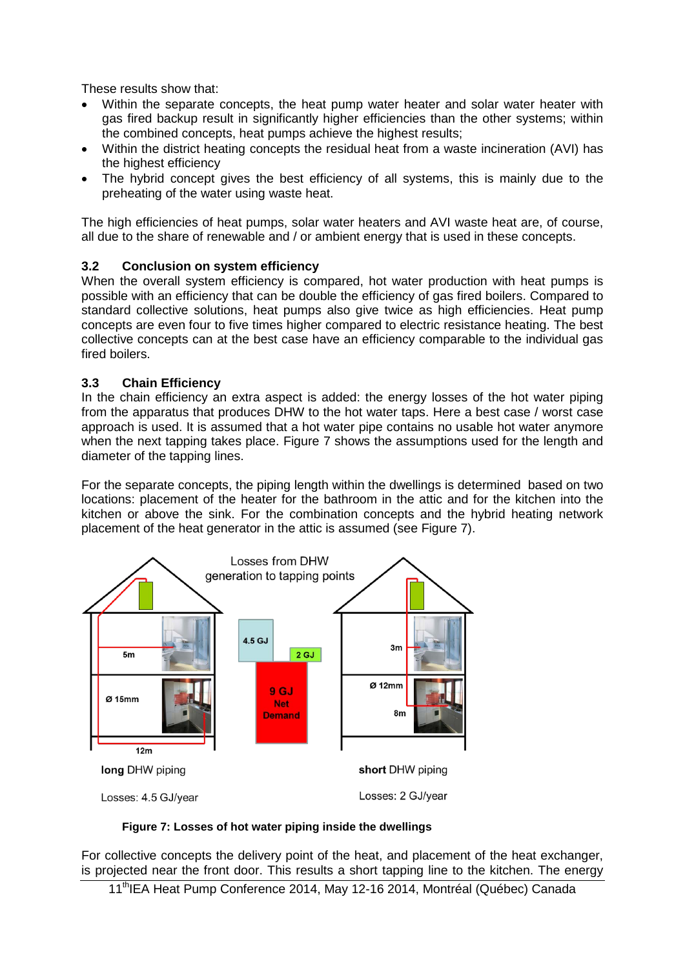These results show that:

- Within the separate concepts, the heat pump water heater and solar water heater with gas fired backup result in significantly higher efficiencies than the other systems; within the combined concepts, heat pumps achieve the highest results;
- Within the district heating concepts the residual heat from a waste incineration (AVI) has the highest efficiency
- The hybrid concept gives the best efficiency of all systems, this is mainly due to the preheating of the water using waste heat.

The high efficiencies of heat pumps, solar water heaters and AVI waste heat are, of course, all due to the share of renewable and / or ambient energy that is used in these concepts.

### **3.2 Conclusion on system efficiency**

When the overall system efficiency is compared, hot water production with heat pumps is possible with an efficiency that can be double the efficiency of gas fired boilers. Compared to standard collective solutions, heat pumps also give twice as high efficiencies. Heat pump concepts are even four to five times higher compared to electric resistance heating. The best collective concepts can at the best case have an efficiency comparable to the individual gas fired boilers.

#### **3.3 Chain Efficiency**

In the chain efficiency an extra aspect is added: the energy losses of the hot water piping from the apparatus that produces DHW to the hot water taps. Here a best case / worst case approach is used. It is assumed that a hot water pipe contains no usable hot water anymore when the next tapping takes place. Figure 7 shows the assumptions used for the length and diameter of the tapping lines.

For the separate concepts, the piping length within the dwellings is determined based on two locations: placement of the heater for the bathroom in the attic and for the kitchen into the kitchen or above the sink. For the combination concepts and the hybrid heating network placement of the heat generator in the attic is assumed (see Figure 7).



#### **Figure 7: Losses of hot water piping inside the dwellings**

For collective concepts the delivery point of the heat, and placement of the heat exchanger, is projected near the front door. This results a short tapping line to the kitchen. The energy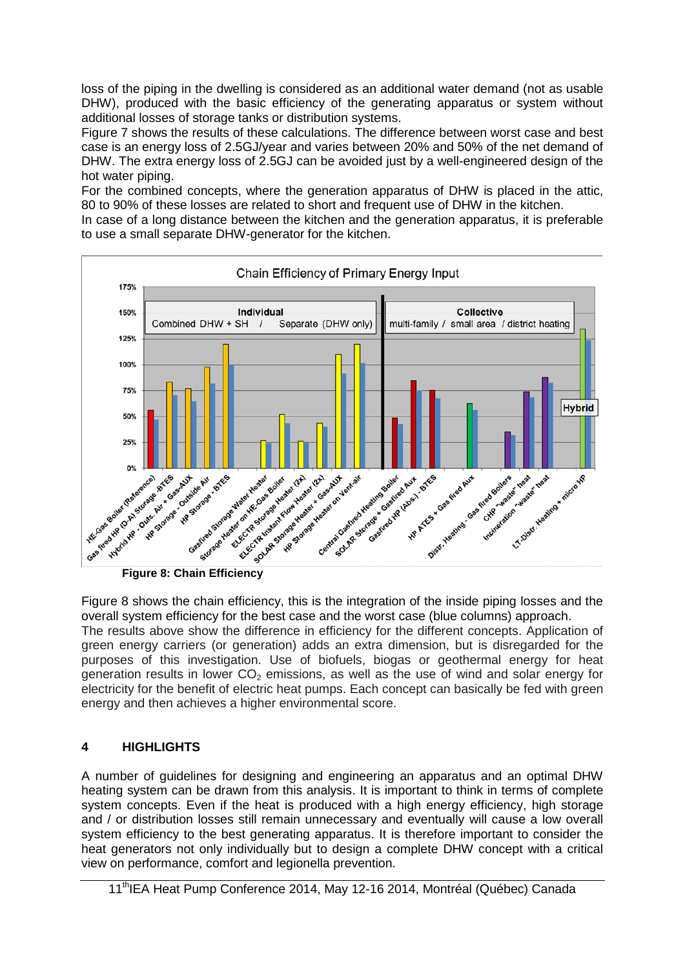loss of the piping in the dwelling is considered as an additional water demand (not as usable DHW), produced with the basic efficiency of the generating apparatus or system without additional losses of storage tanks or distribution systems.

Figure 7 shows the results of these calculations. The difference between worst case and best case is an energy loss of 2.5GJ/year and varies between 20% and 50% of the net demand of DHW. The extra energy loss of 2.5GJ can be avoided just by a well-engineered design of the hot water piping.

For the combined concepts, where the generation apparatus of DHW is placed in the attic, 80 to 90% of these losses are related to short and frequent use of DHW in the kitchen.

In case of a long distance between the kitchen and the generation apparatus, it is preferable to use a small separate DHW-generator for the kitchen.



Figure 8 shows the chain efficiency, this is the integration of the inside piping losses and the overall system efficiency for the best case and the worst case (blue columns) approach. The results above show the difference in efficiency for the different concepts. Application of green energy carriers (or generation) adds an extra dimension, but is disregarded for the purposes of this investigation. Use of biofuels, biogas or geothermal energy for heat generation results in lower  $CO<sub>2</sub>$  emissions, as well as the use of wind and solar energy for electricity for the benefit of electric heat pumps. Each concept can basically be fed with green energy and then achieves a higher environmental score.

## **4 HIGHLIGHTS**

A number of guidelines for designing and engineering an apparatus and an optimal DHW heating system can be drawn from this analysis. It is important to think in terms of complete system concepts. Even if the heat is produced with a high energy efficiency, high storage and / or distribution losses still remain unnecessary and eventually will cause a low overall system efficiency to the best generating apparatus. It is therefore important to consider the heat generators not only individually but to design a complete DHW concept with a critical view on performance, comfort and legionella prevention.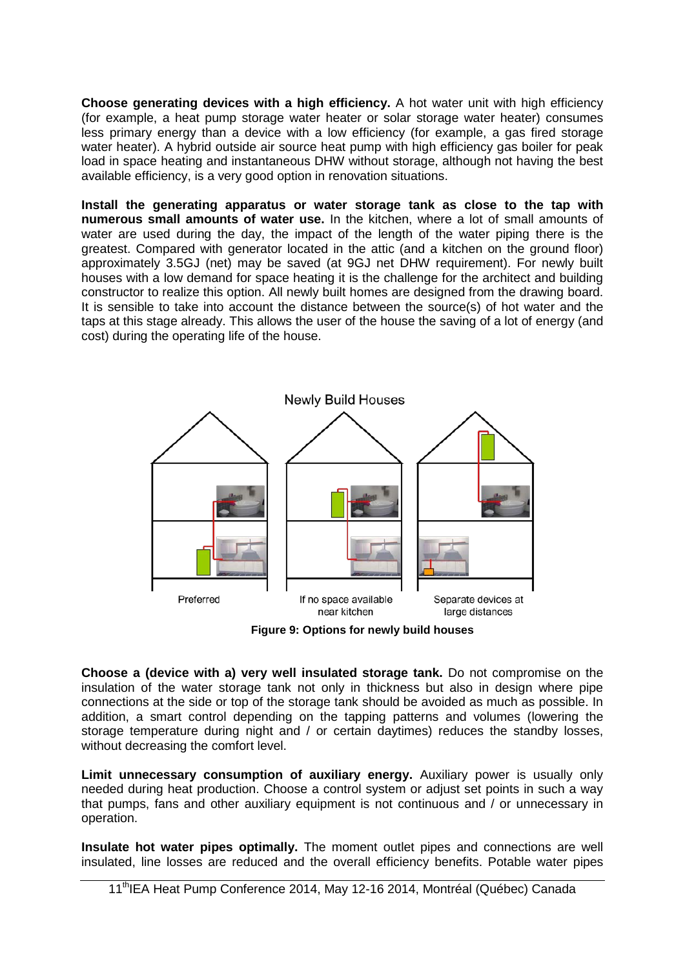**Choose generating devices with a high efficiency.** A hot water unit with high efficiency (for example, a heat pump storage water heater or solar storage water heater) consumes less primary energy than a device with a low efficiency (for example, a gas fired storage water heater). A hybrid outside air source heat pump with high efficiency gas boiler for peak load in space heating and instantaneous DHW without storage, although not having the best available efficiency, is a very good option in renovation situations.

**Install the generating apparatus or water storage tank as close to the tap with numerous small amounts of water use.** In the kitchen, where a lot of small amounts of water are used during the day, the impact of the length of the water piping there is the greatest. Compared with generator located in the attic (and a kitchen on the ground floor) approximately 3.5GJ (net) may be saved (at 9GJ net DHW requirement). For newly built houses with a low demand for space heating it is the challenge for the architect and building constructor to realize this option. All newly built homes are designed from the drawing board. It is sensible to take into account the distance between the source(s) of hot water and the taps at this stage already. This allows the user of the house the saving of a lot of energy (and cost) during the operating life of the house.



**Figure 9: Options for newly build houses**

**Choose a (device with a) very well insulated storage tank.** Do not compromise on the insulation of the water storage tank not only in thickness but also in design where pipe connections at the side or top of the storage tank should be avoided as much as possible. In addition, a smart control depending on the tapping patterns and volumes (lowering the storage temperature during night and / or certain daytimes) reduces the standby losses, without decreasing the comfort level.

**Limit unnecessary consumption of auxiliary energy.** Auxiliary power is usually only needed during heat production. Choose a control system or adjust set points in such a way that pumps, fans and other auxiliary equipment is not continuous and / or unnecessary in operation.

**Insulate hot water pipes optimally.** The moment outlet pipes and connections are well insulated, line losses are reduced and the overall efficiency benefits. Potable water pipes

<sup>11&</sup>lt;sup>th</sup>IEA Heat Pump Conference 2014, May 12-16 2014, Montréal (Québec) Canada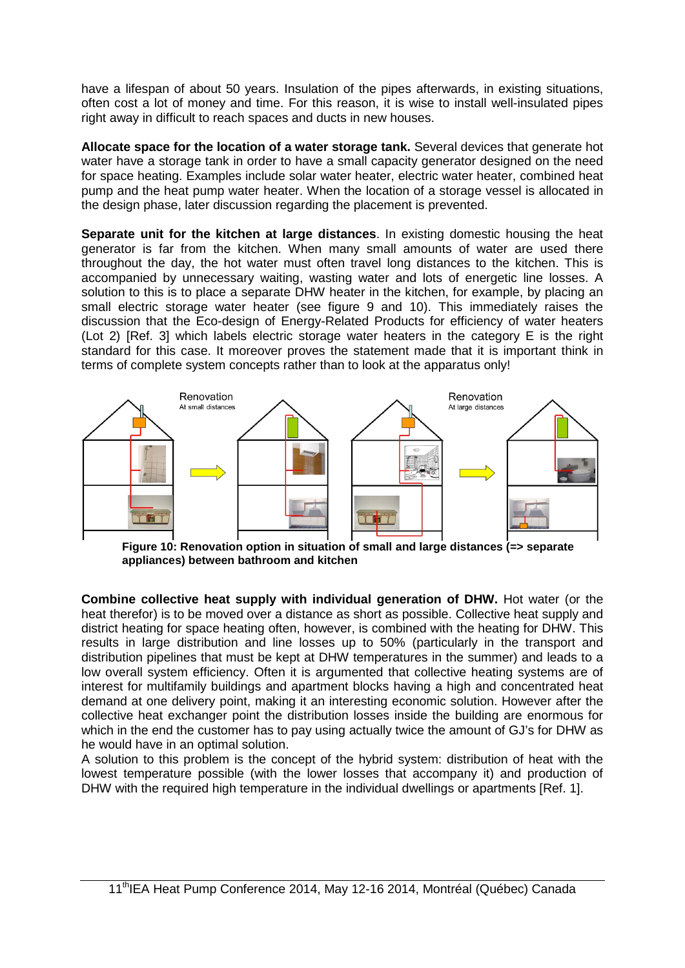have a lifespan of about 50 years. Insulation of the pipes afterwards, in existing situations, often cost a lot of money and time. For this reason, it is wise to install well-insulated pipes right away in difficult to reach spaces and ducts in new houses.

**Allocate space for the location of a water storage tank.** Several devices that generate hot water have a storage tank in order to have a small capacity generator designed on the need for space heating. Examples include solar water heater, electric water heater, combined heat pump and the heat pump water heater. When the location of a storage vessel is allocated in the design phase, later discussion regarding the placement is prevented.

**Separate unit for the kitchen at large distances**. In existing domestic housing the heat generator is far from the kitchen. When many small amounts of water are used there throughout the day, the hot water must often travel long distances to the kitchen. This is accompanied by unnecessary waiting, wasting water and lots of energetic line losses. A solution to this is to place a separate DHW heater in the kitchen, for example, by placing an small electric storage water heater (see figure 9 and 10). This immediately raises the discussion that the Eco-design of Energy-Related Products for efficiency of water heaters (Lot 2) [Ref. 3] which labels electric storage water heaters in the category E is the right standard for this case. It moreover proves the statement made that it is important think in terms of complete system concepts rather than to look at the apparatus only!



 **Figure 10: Renovation option in situation of small and large distances (=> separate appliances) between bathroom and kitchen**

**Combine collective heat supply with individual generation of DHW.** Hot water (or the heat therefor) is to be moved over a distance as short as possible. Collective heat supply and district heating for space heating often, however, is combined with the heating for DHW. This results in large distribution and line losses up to 50% (particularly in the transport and distribution pipelines that must be kept at DHW temperatures in the summer) and leads to a low overall system efficiency. Often it is argumented that collective heating systems are of interest for multifamily buildings and apartment blocks having a high and concentrated heat demand at one delivery point, making it an interesting economic solution. However after the collective heat exchanger point the distribution losses inside the building are enormous for which in the end the customer has to pay using actually twice the amount of GJ's for DHW as he would have in an optimal solution.

A solution to this problem is the concept of the hybrid system: distribution of heat with the lowest temperature possible (with the lower losses that accompany it) and production of DHW with the required high temperature in the individual dwellings or apartments [Ref. 1].